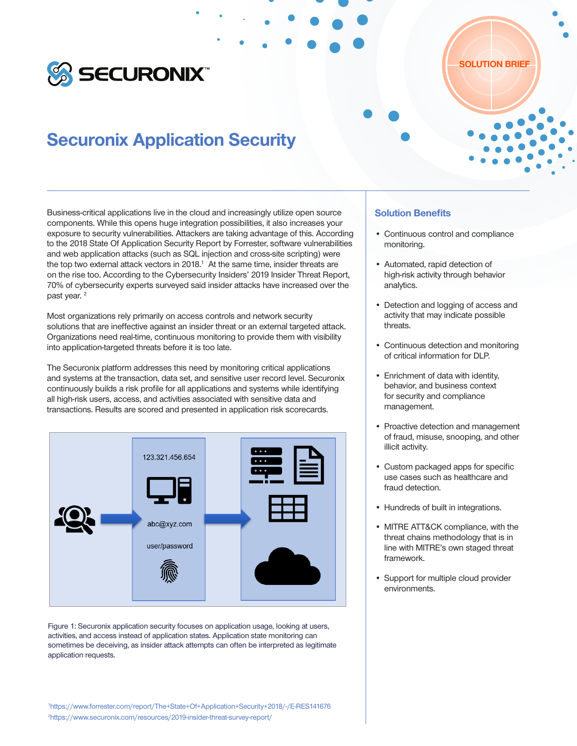

# Securonix Application Security

Business-critical applications live in the cloud and increasingly utilize open source components. While this opens huge integration possibilities, it also increases your exposure to security vulnerabilities. Attackers are taking advantage of this. According to the 2018 State Of Application Security Report by Forrester, software vulnerabilities and web application attacks (such as SQL injection and cross-site scripting) were the top two external attack vectors in 2018. $<sup>1</sup>$  At the same time, insider threats are</sup> on the rise too. According to the Cybersecurity Insiders' 2019 Insider Threat Report, 70% of cybersecurity experts surveyed said insider attacks have increased over the past year.<sup>2</sup>

Most organizations rely primarily on access controls and network security solutions that are ineffective against an insider threat or an external targeted attack. Organizations need real-time, continuous monitoring to provide them with visibility into application-targeted threats before it is too late.

The Securonix platform addresses this need by monitoring critical applications and systems at the transaction, data set, and sensitive user record level. Securonix continuously builds a risk profile for all applications and systems while identifying all high-risk users, access, and activities associated with sensitive data and transactions. Results are scored and presented in application risk scorecards.



Figure 1: Securonix application security focuses on application usage, looking at users, activities, and access instead of application states. Application state monitoring can sometimes be deceiving, as insider attack attempts can often be interpreted as legitimate application requests.

## Solution Benefits

• Continuous control and compliance monitoring.

SOLUTION BRIEF

- Automated, rapid detection of high-risk activity through behavior analytics.
- Detection and logging of access and activity that may indicate possible threats.
- Continuous detection and monitoring of critical information for DLP.
- Enrichment of data with identity, behavior, and business context for security and compliance management.
- Proactive detection and management of fraud, misuse, snooping, and other illicit activity.
- Custom packaged apps for specific use cases such as healthcare and fraud detection.
- Hundreds of built in integrations.
- MITRE ATT&CK compliance, with the threat chains methodology that is in line with MITRE's own staged threat framework.
- Support for multiple cloud provider environments.

1 https://www.forrester.com/report/The+State+Of+Application+Security+2018/-/E-RES141676 2 https://www.securonix.com/resources/2019-insider-threat-survey-report/